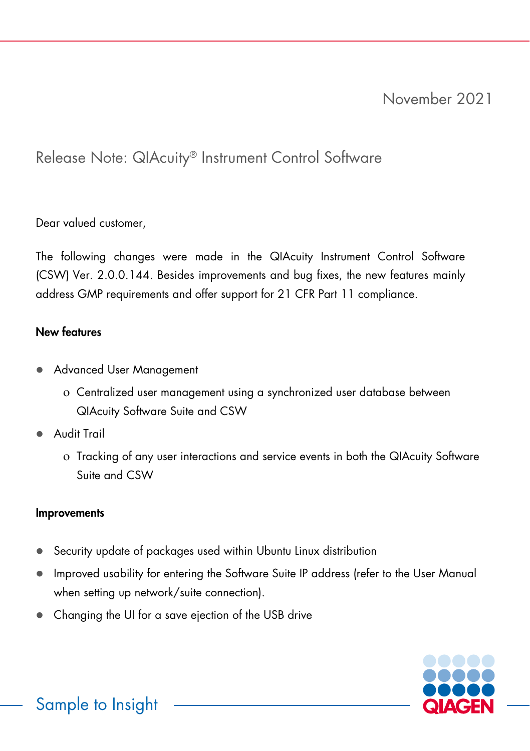# Release Note: QIAcuity® Instrument Control Software

Dear valued customer,

The following changes were made in the QIAcuity Instrument Control Software (CSW) Ver. 2.0.0.144. Besides improvements and bug fixes, the new features mainly address GMP requirements and offer support for 21 CFR Part 11 compliance.

## New features

- **Advanced User Management** 
	- ο Centralized user management using a synchronized user database between QIAcuity Software Suite and CSW
- Audit Trail
	- ο Tracking of any user interactions and service events in both the QIAcuity Software Suite and CSW

## **Improvements**

- Security update of packages used within Ubuntu Linux distribution
- Improved usability for entering the Software Suite IP address (refer to the User Manual when setting up network/suite connection).
- Changing the UI for a save ejection of the USB drive

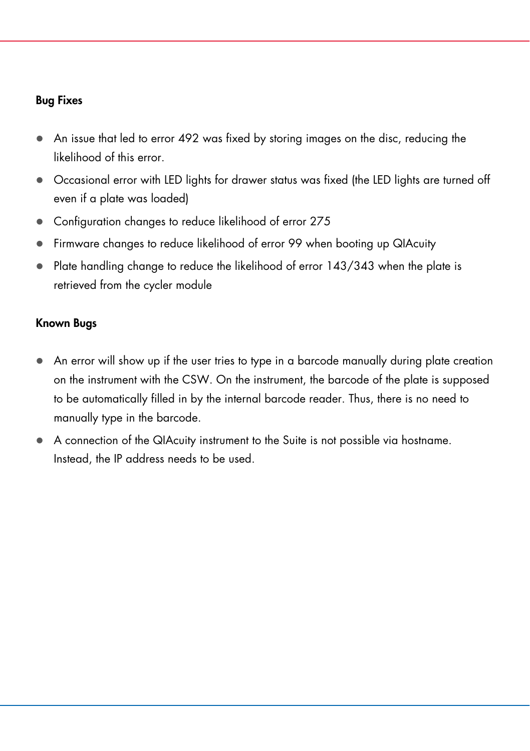#### Bug Fixes

- An issue that led to error 492 was fixed by storing images on the disc, reducing the likelihood of this error.
- Occasional error with LED lights for drawer status was fixed (the LED lights are turned off even if a plate was loaded)
- Configuration changes to reduce likelihood of error 275
- Firmware changes to reduce likelihood of error 99 when booting up QIAcuity
- Plate handling change to reduce the likelihood of error 143/343 when the plate is retrieved from the cycler module

## Known Bugs

- An error will show up if the user tries to type in a barcode manually during plate creation on the instrument with the CSW. On the instrument, the barcode of the plate is supposed to be automatically filled in by the internal barcode reader. Thus, there is no need to manually type in the barcode.
- A connection of the QIAcuity instrument to the Suite is not possible via hostname. Instead, the IP address needs to be used.